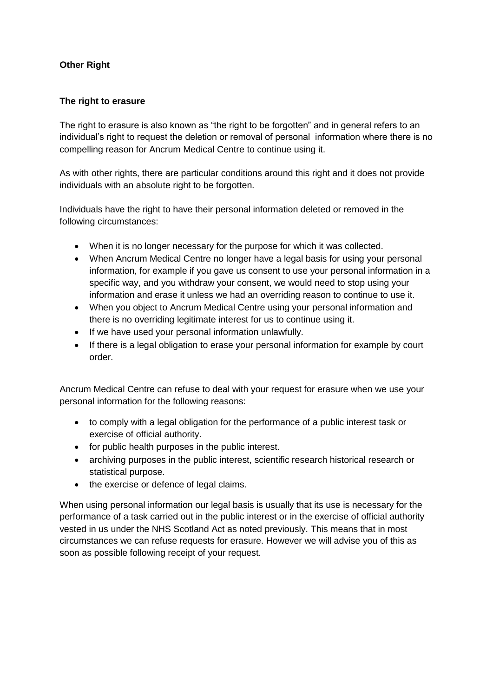# **Other Right**

#### **The right to erasure**

The right to erasure is also known as "the right to be forgotten" and in general refers to an individual's right to request the deletion or removal of personal information where there is no compelling reason for Ancrum Medical Centre to continue using it.

As with other rights, there are particular conditions around this right and it does not provide individuals with an absolute right to be forgotten.

Individuals have the right to have their personal information deleted or removed in the following circumstances:

- When it is no longer necessary for the purpose for which it was collected.
- When Ancrum Medical Centre no longer have a legal basis for using your personal information, for example if you gave us consent to use your personal information in a specific way, and you withdraw your consent, we would need to stop using your information and erase it unless we had an overriding reason to continue to use it.
- When you object to Ancrum Medical Centre using your personal information and there is no overriding legitimate interest for us to continue using it.
- If we have used your personal information unlawfully.
- If there is a legal obligation to erase your personal information for example by court order.

Ancrum Medical Centre can refuse to deal with your request for erasure when we use your personal information for the following reasons:

- to comply with a legal obligation for the performance of a public interest task or exercise of official authority.
- for public health purposes in the public interest.
- archiving purposes in the public interest, scientific research historical research or statistical purpose.
- the exercise or defence of legal claims.

When using personal information our legal basis is usually that its use is necessary for the performance of a task carried out in the public interest or in the exercise of official authority vested in us under the NHS Scotland Act as noted previously. This means that in most circumstances we can refuse requests for erasure. However we will advise you of this as soon as possible following receipt of your request.